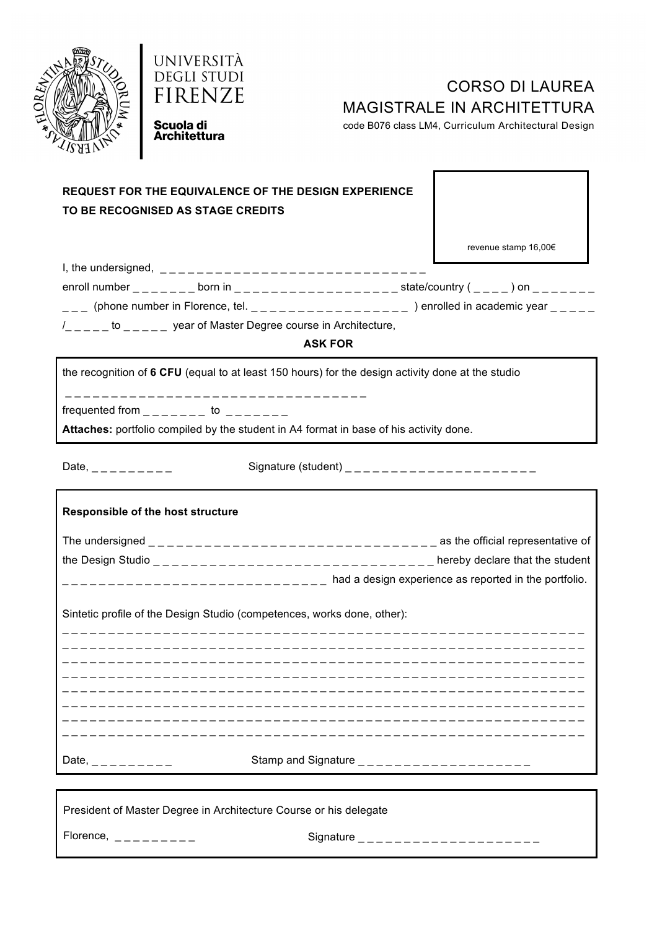



# CORSO DI LAUREA MAGISTRALE IN ARCHITETTURA

code B076 class LM4, Curriculum Architectural Design

Scuola di **Architettura** 

### **REQUEST FOR THE EQUIVALENCE OF THE DESIGN EXPERIENCE TO BE RECOGNISED AS STAGE CREDITS**

revenue stamp 16,00€

| I, the undersigned, |                                               |                      |                                                         |  |
|---------------------|-----------------------------------------------|----------------------|---------------------------------------------------------|--|
| enroll number       | born in                                       | state/country ( ) on |                                                         |  |
|                     |                                               |                      | ) enrolled in academic year $\frac{1}{2}$ $\frac{1}{2}$ |  |
|                     | year of Master Degree course in Architecture, |                      |                                                         |  |

**ASK FOR**

the recognition of **6 CFU** (equal to at least 150 hours) for the design activity done at the studio

\_ \_ \_ \_ \_ \_ \_ \_ \_ \_ \_ \_ \_ \_ \_ \_ \_ \_ \_ \_ \_ \_ \_ \_ \_ \_ \_ \_ \_ \_ \_ \_ \_

frequented from  $\frac{1}{2}$   $\frac{1}{2}$   $\frac{1}{2}$  to  $\frac{1}{2}$   $\frac{1}{2}$   $\frac{1}{2}$   $\frac{1}{2}$ 

**Attaches:** portfolio compiled by the student in A4 format in base of his activity done.

Date, \_ \_ \_ \_ \_ \_ \_ \_ \_ Signature (student) \_ \_ \_ \_ \_ \_ \_ \_ \_ \_ \_ \_ \_ \_ \_ \_ \_ \_ \_ \_ \_

# **Responsible of the host structure** The undersigned  $\frac{1}{2}$   $\frac{1}{2}$   $\frac{1}{2}$   $\frac{1}{2}$   $\frac{1}{2}$   $\frac{1}{2}$   $\frac{1}{2}$   $\frac{1}{2}$   $\frac{1}{2}$   $\frac{1}{2}$   $\frac{1}{2}$   $\frac{1}{2}$   $\frac{1}{2}$   $\frac{1}{2}$   $\frac{1}{2}$   $\frac{1}{2}$   $\frac{1}{2}$   $\frac{1}{2}$   $\frac{1}{2}$   $\frac{1}{2}$   $\frac{1$ the Design Studio  $\frac{1}{2}$   $\frac{1}{2}$   $\frac{1}{2}$   $\frac{1}{2}$   $\frac{1}{2}$   $\frac{1}{2}$   $\frac{1}{2}$   $\frac{1}{2}$   $\frac{1}{2}$   $\frac{1}{2}$   $\frac{1}{2}$   $\frac{1}{2}$   $\frac{1}{2}$   $\frac{1}{2}$   $\frac{1}{2}$   $\frac{1}{2}$   $\frac{1}{2}$   $\frac{1}{2}$   $\frac{1}{2}$   $\frac{1}{2}$   $\frac$  $\frac{1}{2}$  =  $\frac{1}{2}$  =  $\frac{1}{2}$  =  $\frac{1}{2}$  =  $\frac{1}{2}$  =  $\frac{1}{2}$  =  $\frac{1}{2}$  and a design experience as reported in the portfolio. Sintetic profile of the Design Studio (competences, works done, other): \_ \_ \_ \_ \_ \_ \_ \_ \_ \_ \_ \_ \_ \_ \_ \_ \_ \_ \_ \_ \_ \_ \_ \_ \_ \_ \_ \_ \_ \_ \_ \_ \_ \_ \_ \_ \_ \_ \_ \_ \_ \_ \_ \_ \_ \_ \_ \_ \_ \_ \_ \_ \_ \_ \_ \_ \_ \_ \_ \_ \_ \_ \_ \_ \_ \_ \_ \_ \_ \_ \_ \_ \_ \_ \_ \_ \_ \_ \_ \_ \_ \_ \_ \_ \_ \_ \_ \_ \_ \_ \_ \_ \_ \_ \_ \_ \_ \_ \_ \_ \_ \_ \_ \_ \_ \_ \_ \_ \_ \_ \_ \_ \_ \_ \_ \_ \_ \_ \_ \_ \_ \_ \_ \_ \_ \_ \_ \_ \_ \_ \_ \_ \_ \_ \_ \_ \_ \_ \_ \_ \_ \_ \_ \_ \_ \_ \_ \_ \_ \_ \_ \_ \_ \_ \_ \_ \_ \_ \_ \_ \_ \_ \_ \_ \_ \_ \_ \_ \_ \_ \_  $\mathcal{L} = \{ \mathcal{L} \mid \mathcal{L} = \mathcal{L} \}$ \_ \_ \_ \_ \_ \_ \_ \_ \_ \_ \_ \_ \_ \_ \_ \_ \_ \_ \_ \_ \_ \_ \_ \_ \_ \_ \_ \_ \_ \_ \_ \_ \_ \_ \_ \_ \_ \_ \_ \_ \_ \_ \_ \_ \_ \_ \_ \_ \_ \_ \_ \_ \_ \_ \_ \_ \_ \_ \_ \_ \_ \_ \_ \_ \_ \_ \_ \_ \_ \_ \_ \_ \_ \_ \_ \_ \_ \_ \_ \_ \_ \_ \_ \_ \_ \_ \_ \_ \_ \_ \_ \_ \_ \_ \_ \_ \_ \_ \_ \_ \_ \_ \_ \_ \_ \_ \_ \_ \_ \_ \_ \_ \_ \_ \_ \_ \_ \_ \_ \_ \_ \_ \_ \_ \_ \_ \_ \_ \_ \_ \_ \_ \_ \_ \_ \_ \_ \_ \_ \_ \_ \_ \_ \_ \_ \_ \_ \_ \_ \_ \_ \_ \_ \_ \_ \_ \_ \_ \_ \_ \_ \_ \_ \_ \_ \_ \_ \_ \_ \_ \_ \_ \_ \_ \_ \_ \_ \_ \_ \_ \_ \_ \_ \_ \_ \_ \_ \_ \_ \_ \_ \_ \_ \_ \_ \_ \_ \_ \_ \_ \_ \_ \_ \_ \_ \_ \_ \_ \_ \_ \_ \_ \_ \_ \_ \_ \_ \_ \_ \_ \_ \_ \_ \_ \_ \_ \_ \_ Date, \_ \_ \_ \_ \_ \_ \_ \_ \_ Stamp and Signature \_ \_ \_ \_ \_ \_ \_ \_ \_ \_ \_ \_ \_ \_ \_ \_ \_ \_ \_

President of Master Degree in Architecture Course or his delegate

Florence, \_ \_ \_ \_ \_ \_ \_ \_ \_ Signature \_ \_ \_ \_ \_ \_ \_ \_ \_ \_ \_ \_ \_ \_ \_ \_ \_ \_ \_ \_